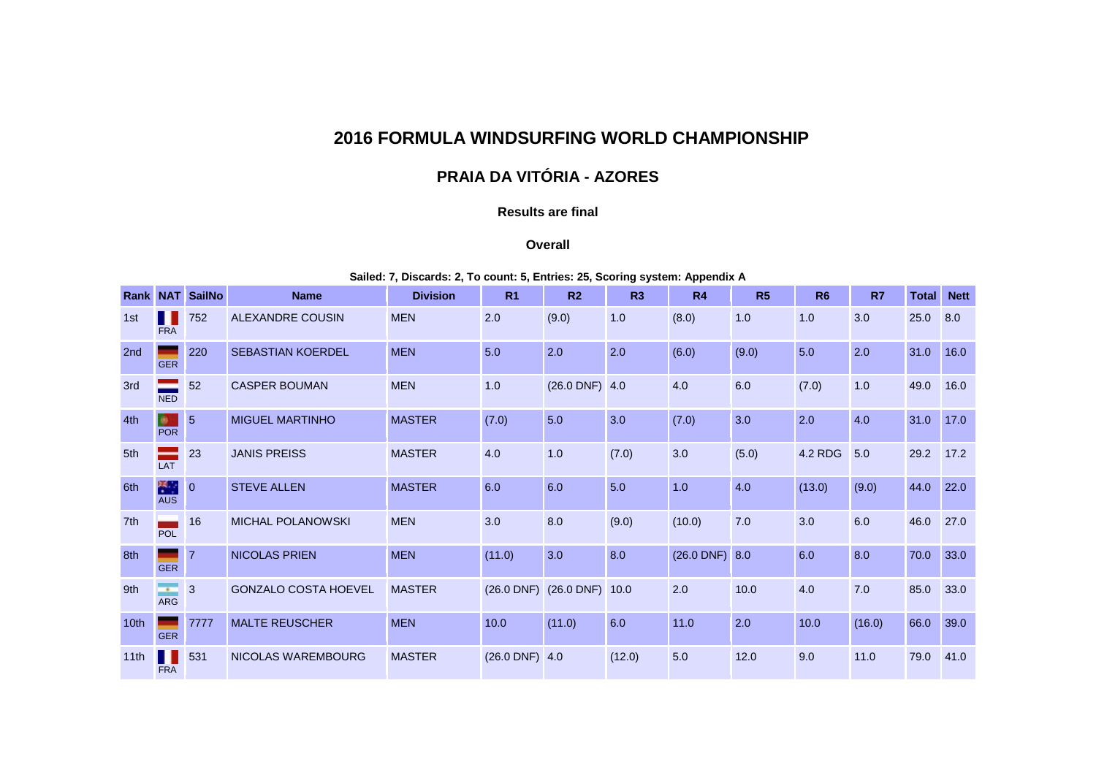## **2016 FORMULA WINDSURFING WORLD CHAMPIONSHIP**

# **PRAIA DA VITÓRIA - AZORES**

## **Results are final**

#### **Overall**

### **Sailed: 7, Discards: 2, To count: 5, Entries: 25, Scoring system: Appendix A**

|                 |                               | <b>Rank NAT SailNo</b> | <b>Name</b>                 | <b>Division</b> | R <sub>1</sub>   | R <sub>2</sub>             | R3     | R <sub>4</sub>     | R5    | R <sub>6</sub> | R7     | <b>Total</b> | <b>Nett</b> |
|-----------------|-------------------------------|------------------------|-----------------------------|-----------------|------------------|----------------------------|--------|--------------------|-------|----------------|--------|--------------|-------------|
| 1st             | <b>FRA</b>                    | 752                    | ALEXANDRE COUSIN            | <b>MEN</b>      | 2.0              | (9.0)                      | 1.0    | (8.0)              | 1.0   | 1.0            | 3.0    | 25.0         | 8.0         |
| 2 <sub>nd</sub> | <b>GER</b>                    | 220                    | <b>SEBASTIAN KOERDEL</b>    | <b>MEN</b>      | 5.0              | 2.0                        | 2.0    | (6.0)              | (9.0) | 5.0            | 2.0    | 31.0         | 16.0        |
| 3rd             | <b>NED</b>                    | 52                     | <b>CASPER BOUMAN</b>        | <b>MEN</b>      | 1.0              | $(26.0$ DNF) 4.0           |        | 4.0                | 6.0   | (7.0)          | 1.0    | 49.0         | 16.0        |
| 4th             | B.<br><b>POR</b>              | $\overline{5}$         | <b>MIGUEL MARTINHO</b>      | <b>MASTER</b>   | (7.0)            | 5.0                        | 3.0    | (7.0)              | 3.0   | 2.0            | 4.0    | 31.0         | 17.0        |
| 5th             | LAT                           | 23                     | <b>JANIS PREISS</b>         | <b>MASTER</b>   | 4.0              | 1.0                        | (7.0)  | 3.0                | (5.0) | 4.2 RDG        | 5.0    | 29.2         | 17.2        |
| 6th             | 米里<br><b>AUS</b>              | $\overline{0}$         | <b>STEVE ALLEN</b>          | <b>MASTER</b>   | 6.0              | 6.0                        | 5.0    | 1.0                | 4.0   | (13.0)         | (9.0)  | 44.0         | 22.0        |
| 7th             | POL                           | 16                     | <b>MICHAL POLANOWSKI</b>    | <b>MEN</b>      | 3.0              | 8.0                        | (9.0)  | (10.0)             | 7.0   | 3.0            | 6.0    | 46.0         | 27.0        |
| 8th             | <b>GER</b>                    | $\overline{7}$         | <b>NICOLAS PRIEN</b>        | <b>MEN</b>      | (11.0)           | 3.0                        | 8.0    | $(26.0$ DNF) $8.0$ |       | 6.0            | 8.0    | 70.0         | 33.0        |
| 9th             | <b>Contract</b><br><b>ARG</b> | 3                      | <b>GONZALO COSTA HOEVEL</b> | <b>MASTER</b>   |                  | (26.0 DNF) (26.0 DNF) 10.0 |        | 2.0                | 10.0  | 4.0            | 7.0    | 85.0         | 33.0        |
| 10th            | <b>GER</b>                    | 7777                   | <b>MALTE REUSCHER</b>       | <b>MEN</b>      | 10.0             | (11.0)                     | 6.0    | 11.0               | 2.0   | 10.0           | (16.0) | 66.0         | 39.0        |
| 11th            | <b>FRA</b>                    | 531                    | NICOLAS WAREMBOURG          | <b>MASTER</b>   | $(26.0$ DNF) 4.0 |                            | (12.0) | 5.0                | 12.0  | 9.0            | 11.0   | 79.0         | 41.0        |